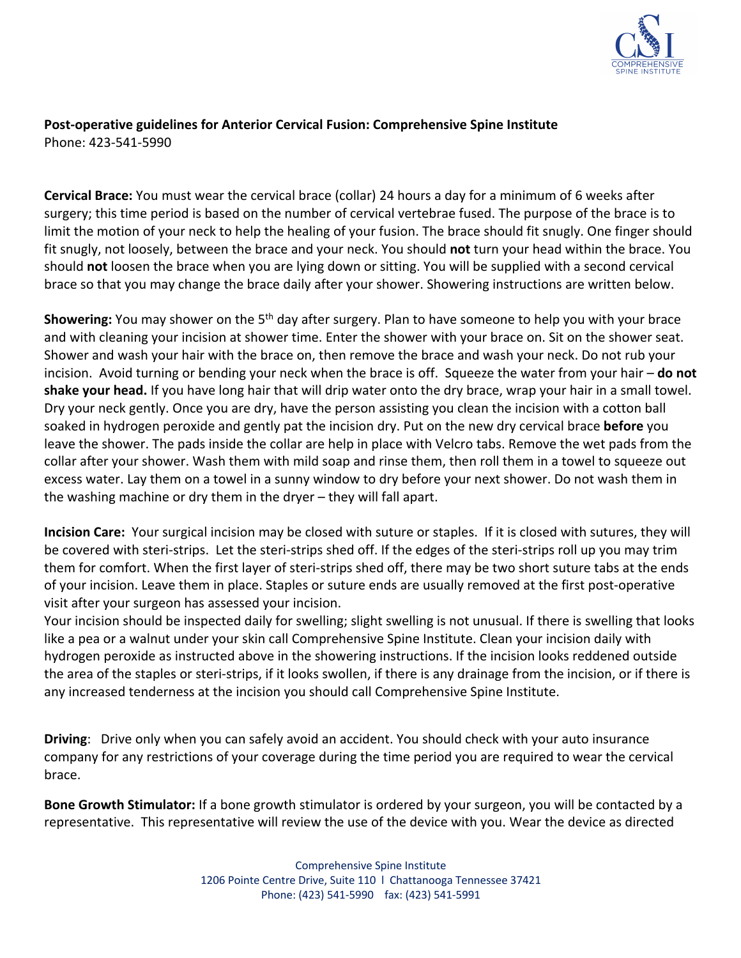

### **Post-operative guidelines for Anterior Cervical Fusion: Comprehensive Spine Institute**  Phone: 423-541-5990

**Cervical Brace:** You must wear the cervical brace (collar) 24 hours a day for a minimum of 6 weeks after surgery; this time period is based on the number of cervical vertebrae fused. The purpose of the brace is to limit the motion of your neck to help the healing of your fusion. The brace should fit snugly. One finger should fit snugly, not loosely, between the brace and your neck. You should **not** turn your head within the brace. You should **not** loosen the brace when you are lying down or sitting. You will be supplied with a second cervical brace so that you may change the brace daily after your shower. Showering instructions are written below.

**Showering:** You may shower on the 5<sup>th</sup> day after surgery. Plan to have someone to help you with your brace and with cleaning your incision at shower time. Enter the shower with your brace on. Sit on the shower seat. Shower and wash your hair with the brace on, then remove the brace and wash your neck. Do not rub your incision. Avoid turning or bending your neck when the brace is off. Squeeze the water from your hair – **do not shake your head.** If you have long hair that will drip water onto the dry brace, wrap your hair in a small towel. Dry your neck gently. Once you are dry, have the person assisting you clean the incision with a cotton ball soaked in hydrogen peroxide and gently pat the incision dry. Put on the new dry cervical brace **before** you leave the shower. The pads inside the collar are help in place with Velcro tabs. Remove the wet pads from the collar after your shower. Wash them with mild soap and rinse them, then roll them in a towel to squeeze out excess water. Lay them on a towel in a sunny window to dry before your next shower. Do not wash them in the washing machine or dry them in the dryer – they will fall apart.

**Incision Care:** Your surgical incision may be closed with suture or staples. If it is closed with sutures, they will be covered with steri-strips. Let the steri-strips shed off. If the edges of the steri-strips roll up you may trim them for comfort. When the first layer of steri-strips shed off, there may be two short suture tabs at the ends of your incision. Leave them in place. Staples or suture ends are usually removed at the first post-operative visit after your surgeon has assessed your incision.

Your incision should be inspected daily for swelling; slight swelling is not unusual. If there is swelling that looks like a pea or a walnut under your skin call Comprehensive Spine Institute. Clean your incision daily with hydrogen peroxide as instructed above in the showering instructions. If the incision looks reddened outside the area of the staples or steri-strips, if it looks swollen, if there is any drainage from the incision, or if there is any increased tenderness at the incision you should call Comprehensive Spine Institute.

**Driving**: Drive only when you can safely avoid an accident. You should check with your auto insurance company for any restrictions of your coverage during the time period you are required to wear the cervical brace.

**Bone Growth Stimulator:** If a bone growth stimulator is ordered by your surgeon, you will be contacted by a representative. This representative will review the use of the device with you. Wear the device as directed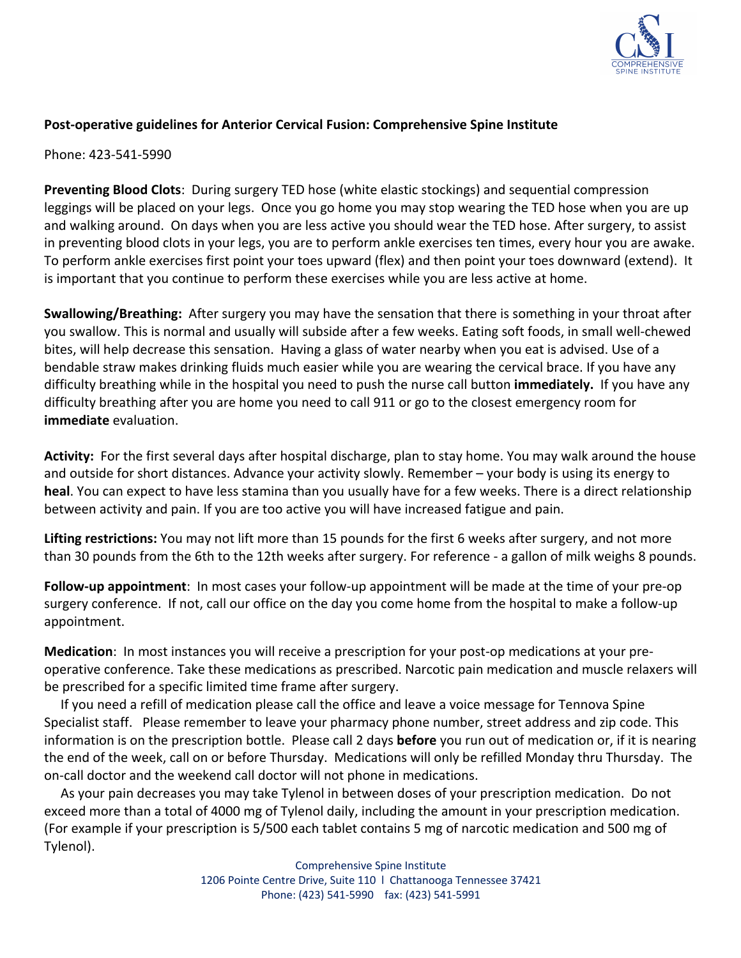

## **Post-operative guidelines for Anterior Cervical Fusion: Comprehensive Spine Institute**

Phone: 423-541-5990

**Preventing Blood Clots**: During surgery TED hose (white elastic stockings) and sequential compression leggings will be placed on your legs. Once you go home you may stop wearing the TED hose when you are up and walking around. On days when you are less active you should wear the TED hose. After surgery, to assist in preventing blood clots in your legs, you are to perform ankle exercises ten times, every hour you are awake. To perform ankle exercises first point your toes upward (flex) and then point your toes downward (extend). It is important that you continue to perform these exercises while you are less active at home.

**Swallowing/Breathing:** After surgery you may have the sensation that there is something in your throat after you swallow. This is normal and usually will subside after a few weeks. Eating soft foods, in small well-chewed bites, will help decrease this sensation. Having a glass of water nearby when you eat is advised. Use of a bendable straw makes drinking fluids much easier while you are wearing the cervical brace. If you have any difficulty breathing while in the hospital you need to push the nurse call button **immediately.** If you have any difficulty breathing after you are home you need to call 911 or go to the closest emergency room for **immediate** evaluation.

**Activity:** For the first several days after hospital discharge, plan to stay home. You may walk around the house and outside for short distances. Advance your activity slowly. Remember – your body is using its energy to **heal**. You can expect to have less stamina than you usually have for a few weeks. There is a direct relationship between activity and pain. If you are too active you will have increased fatigue and pain.

**Lifting restrictions:** You may not lift more than 15 pounds for the first 6 weeks after surgery, and not more than 30 pounds from the 6th to the 12th weeks after surgery. For reference - a gallon of milk weighs 8 pounds.

**Follow-up appointment**: In most cases your follow-up appointment will be made at the time of your pre-op surgery conference. If not, call our office on the day you come home from the hospital to make a follow-up appointment.

**Medication**: In most instances you will receive a prescription for your post-op medications at your preoperative conference. Take these medications as prescribed. Narcotic pain medication and muscle relaxers will be prescribed for a specific limited time frame after surgery.

 If you need a refill of medication please call the office and leave a voice message for Tennova Spine Specialist staff. Please remember to leave your pharmacy phone number, street address and zip code. This information is on the prescription bottle. Please call 2 days **before** you run out of medication or, if it is nearing the end of the week, call on or before Thursday. Medications will only be refilled Monday thru Thursday. The on-call doctor and the weekend call doctor will not phone in medications.

 As your pain decreases you may take Tylenol in between doses of your prescription medication. Do not exceed more than a total of 4000 mg of Tylenol daily, including the amount in your prescription medication. (For example if your prescription is 5/500 each tablet contains 5 mg of narcotic medication and 500 mg of Tylenol).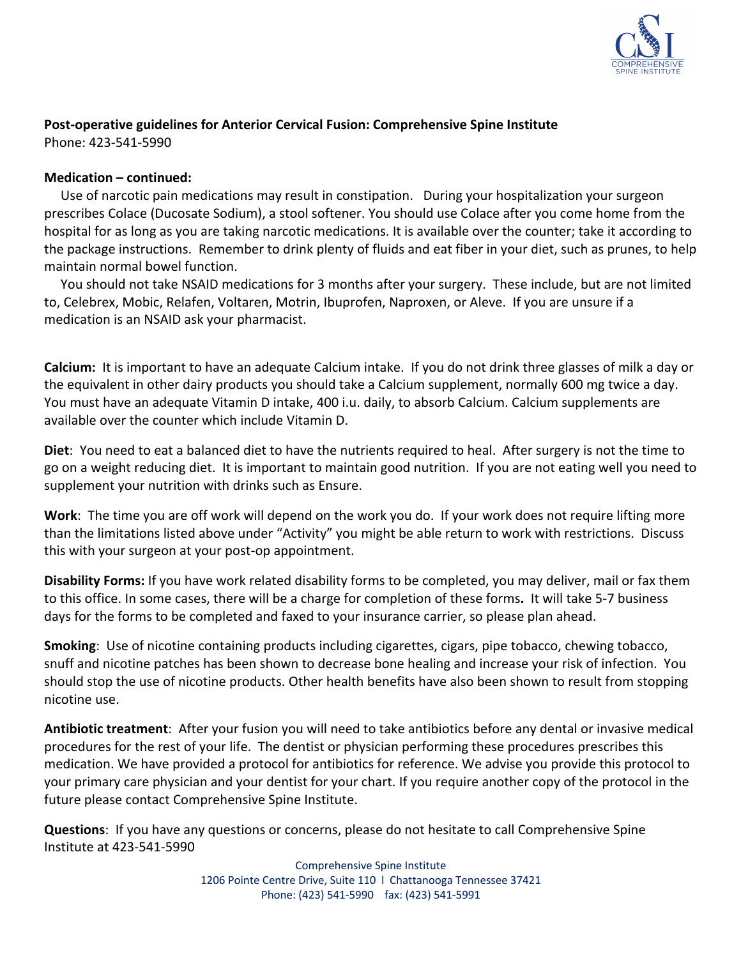

#### **Post-operative guidelines for Anterior Cervical Fusion: Comprehensive Spine Institute**  Phone: 423-541-5990

**Medication – continued:**

 Use of narcotic pain medications may result in constipation. During your hospitalization your surgeon prescribes Colace (Ducosate Sodium), a stool softener. You should use Colace after you come home from the hospital for as long as you are taking narcotic medications. It is available over the counter; take it according to the package instructions. Remember to drink plenty of fluids and eat fiber in your diet, such as prunes, to help maintain normal bowel function.

 You should not take NSAID medications for 3 months after your surgery. These include, but are not limited to, Celebrex, Mobic, Relafen, Voltaren, Motrin, Ibuprofen, Naproxen, or Aleve. If you are unsure if a medication is an NSAID ask your pharmacist.

**Calcium:** It is important to have an adequate Calcium intake. If you do not drink three glasses of milk a day or the equivalent in other dairy products you should take a Calcium supplement, normally 600 mg twice a day. You must have an adequate Vitamin D intake, 400 i.u. daily, to absorb Calcium. Calcium supplements are available over the counter which include Vitamin D.

**Diet**: You need to eat a balanced diet to have the nutrients required to heal. After surgery is not the time to go on a weight reducing diet. It is important to maintain good nutrition. If you are not eating well you need to supplement your nutrition with drinks such as Ensure.

**Work**: The time you are off work will depend on the work you do. If your work does not require lifting more than the limitations listed above under "Activity" you might be able return to work with restrictions. Discuss this with your surgeon at your post-op appointment.

**Disability Forms:** If you have work related disability forms to be completed, you may deliver, mail or fax them to this office. In some cases, there will be a charge for completion of these forms**.** It will take 5-7 business days for the forms to be completed and faxed to your insurance carrier, so please plan ahead.

**Smoking**: Use of nicotine containing products including cigarettes, cigars, pipe tobacco, chewing tobacco, snuff and nicotine patches has been shown to decrease bone healing and increase your risk of infection. You should stop the use of nicotine products. Other health benefits have also been shown to result from stopping nicotine use.

**Antibiotic treatment**: After your fusion you will need to take antibiotics before any dental or invasive medical procedures for the rest of your life. The dentist or physician performing these procedures prescribes this medication. We have provided a protocol for antibiotics for reference. We advise you provide this protocol to your primary care physician and your dentist for your chart. If you require another copy of the protocol in the future please contact Comprehensive Spine Institute.

**Questions**: If you have any questions or concerns, please do not hesitate to call Comprehensive Spine Institute at 423-541-5990

> Comprehensive Spine Institute 1206 Pointe Centre Drive, Suite 110 l Chattanooga Tennessee 37421 Phone: (423) 541-5990 fax: (423) 541-5991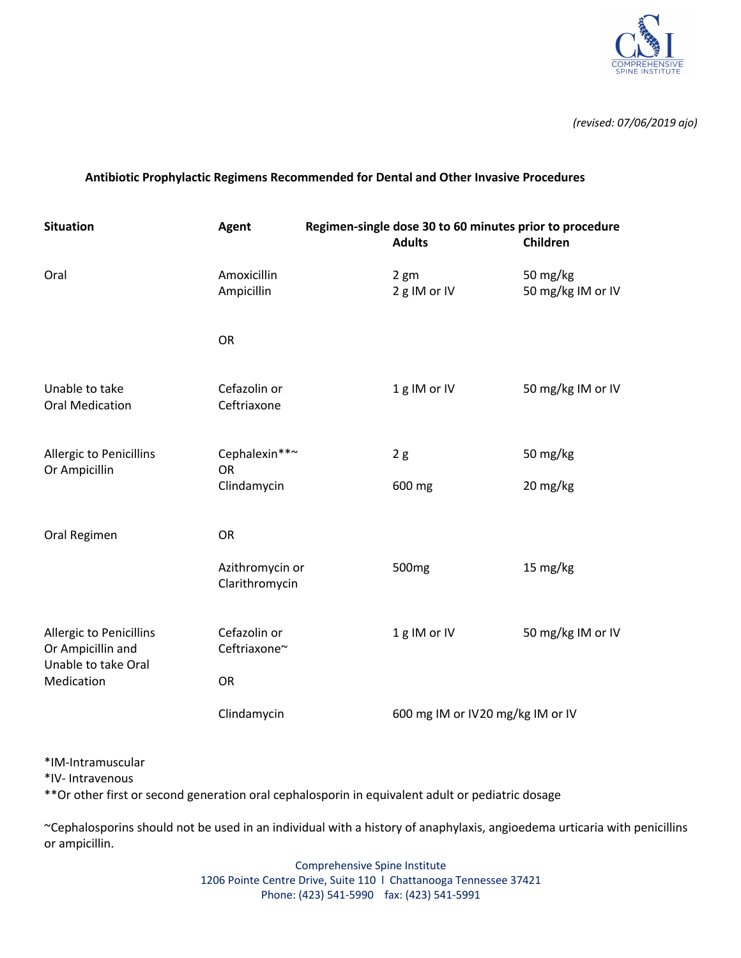

*(revised: 07/06/2019 ajo)*

#### **Antibiotic Prophylactic Regimens Recommended for Dental and Other Invasive Procedures**

| <b>Situation</b>                                                           | <b>Agent</b>                              | Regimen-single dose 30 to 60 minutes prior to procedure |                                  |                               |
|----------------------------------------------------------------------------|-------------------------------------------|---------------------------------------------------------|----------------------------------|-------------------------------|
|                                                                            |                                           |                                                         | <b>Adults</b>                    | Children                      |
| Oral                                                                       | Amoxicillin<br>Ampicillin                 |                                                         | 2 <sub>gm</sub><br>2 g IM or IV  | 50 mg/kg<br>50 mg/kg IM or IV |
|                                                                            | <b>OR</b>                                 |                                                         |                                  |                               |
| Unable to take<br><b>Oral Medication</b>                                   | Cefazolin or<br>Ceftriaxone               |                                                         | 1g IM or IV                      | 50 mg/kg IM or IV             |
| <b>Allergic to Penicillins</b><br>Or Ampicillin                            | Cephalexin**~<br><b>OR</b><br>Clindamycin |                                                         | 2g<br>600 mg                     | 50 mg/kg<br>20 mg/kg          |
| Oral Regimen                                                               | <b>OR</b>                                 |                                                         |                                  |                               |
|                                                                            | Azithromycin or<br>Clarithromycin         |                                                         | 500 <sub>mg</sub>                | 15 mg/kg                      |
| <b>Allergic to Penicillins</b><br>Or Ampicillin and<br>Unable to take Oral | Cefazolin or<br>Ceftriaxone~              |                                                         | 1g IM or IV                      | 50 mg/kg IM or IV             |
| Medication                                                                 | <b>OR</b>                                 |                                                         |                                  |                               |
|                                                                            | Clindamycin                               |                                                         | 600 mg IM or IV20 mg/kg IM or IV |                               |

\*IM-Intramuscular

\*IV- Intravenous

\*\*Or other first or second generation oral cephalosporin in equivalent adult or pediatric dosage

~Cephalosporins should not be used in an individual with a history of anaphylaxis, angioedema urticaria with penicillins or ampicillin.

> Comprehensive Spine Institute 1206 Pointe Centre Drive, Suite 110 l Chattanooga Tennessee 37421 Phone: (423) 541-5990 fax: (423) 541-5991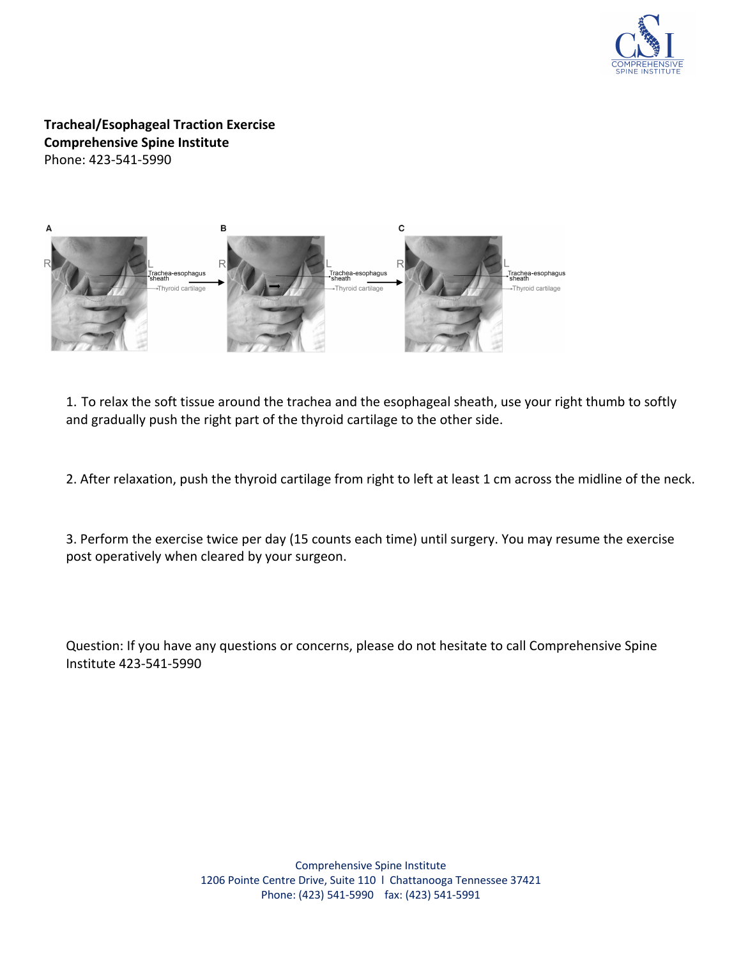

**Tracheal/Esophageal Traction Exercise Comprehensive Spine Institute** Phone: 423-541-5990



1. To relax the soft tissue around the trachea and the esophageal sheath, use your right thumb to softly and gradually push the right part of the thyroid cartilage to the other side.

2. After relaxation, push the thyroid cartilage from right to left at least 1 cm across the midline of the neck.

3. Perform the exercise twice per day (15 counts each time) until surgery. You may resume the exercise post operatively when cleared by your surgeon.

Question: If you have any questions or concerns, please do not hesitate to call Comprehensive Spine Institute 423-541-5990